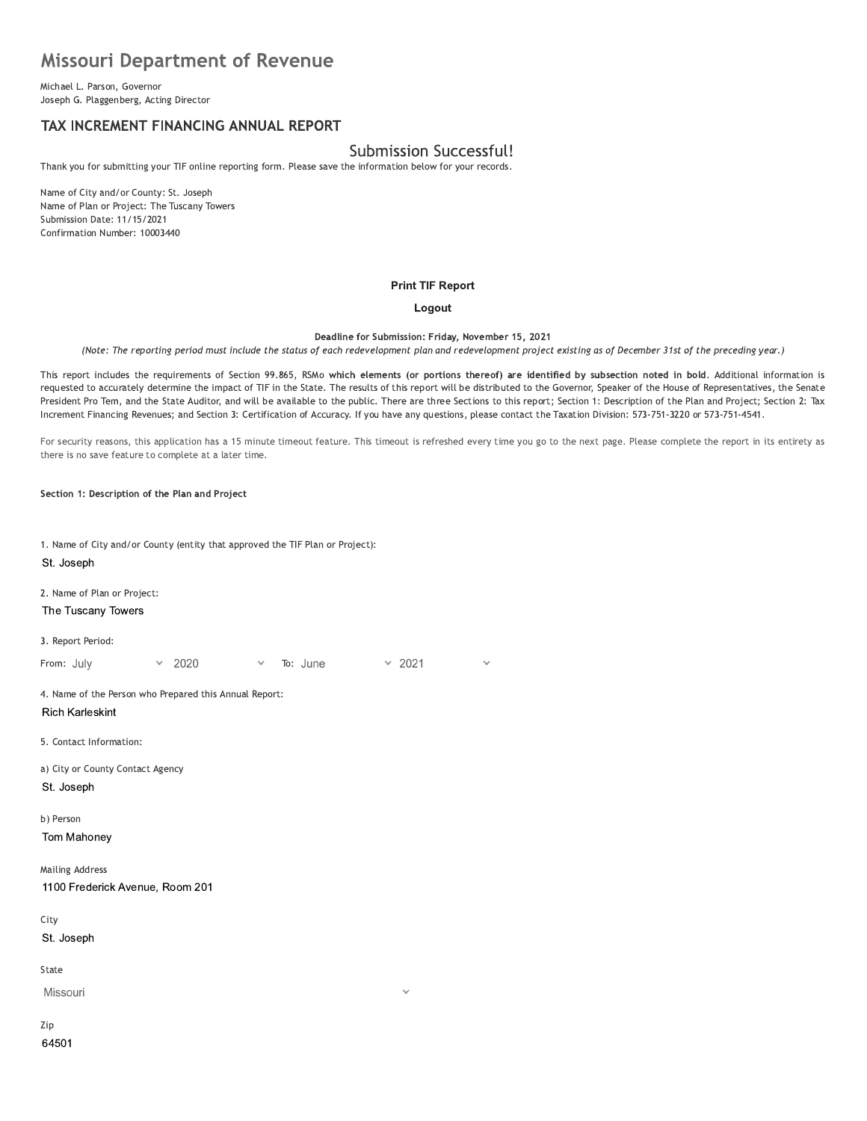# **Missouri Department of Revenue**

Michael L. Parson, Governor Joseph G. Plaggenberg, Acting Director

# TAX INCREMENT FINANCING ANNUAL REPORT

# Submission Successful!

Thank you for submitting your TIF online reporting form. Please save the information below for your records.

Name of City and/or County: St. Joseph Name of Plan or Project: The Tuscany Towers Submission Date: 11/15/2021 Confirmation Number: 10003440

#### **Print TIF Report**

#### Logout

Deadline for Submission: Friday, November 15, 2021

(Note: The reporting period must include the status of each redevelopment plan and redevelopment project existing as of December 31st of the preceding year.)

This report includes the requirements of Section 99.865, RSMo which elements (or portions thereof) are identified by subsection noted in bold. Additional information is requested to accurately determine the impact of TIF in the State. The results of this report will be distributed to the Governor, Speaker of the House of Representatives, the Senate President Pro Tem, and the State Auditor, and will be available to the public. There are three Sections to this report; Section 1: Description of the Plan and Project; Section 2: Tax Increment Financing Revenues; and Section 3: Certification of Accuracy. If you have any questions, please contact the Taxation Division: 573-751-3220 or 573-751-4541.

For security reasons, this application has a 15 minute timeout feature. This timeout is refreshed every time you go to the next page. Please complete the report in its entirety as there is no save feature to complete at a later time.

Section 1: Description of the Plan and Project

1. Name of City and/or County (entity that approved the TIF Plan or Project): St. Joseph 2. Name of Plan or Project: The Tuscany Towers 3. Report Period:  $\times$  2021 From: July 2020 To: June 4. Name of the Person who Prepared this Annual Report: **Rich Karleskint** 5. Contact Information: a) City or County Contact Agency St. Joseph b) Person Tom Mahoney **Mailing Address** 1100 Frederick Avenue, Room 201 City St. Joseph State Missouri Zip

64501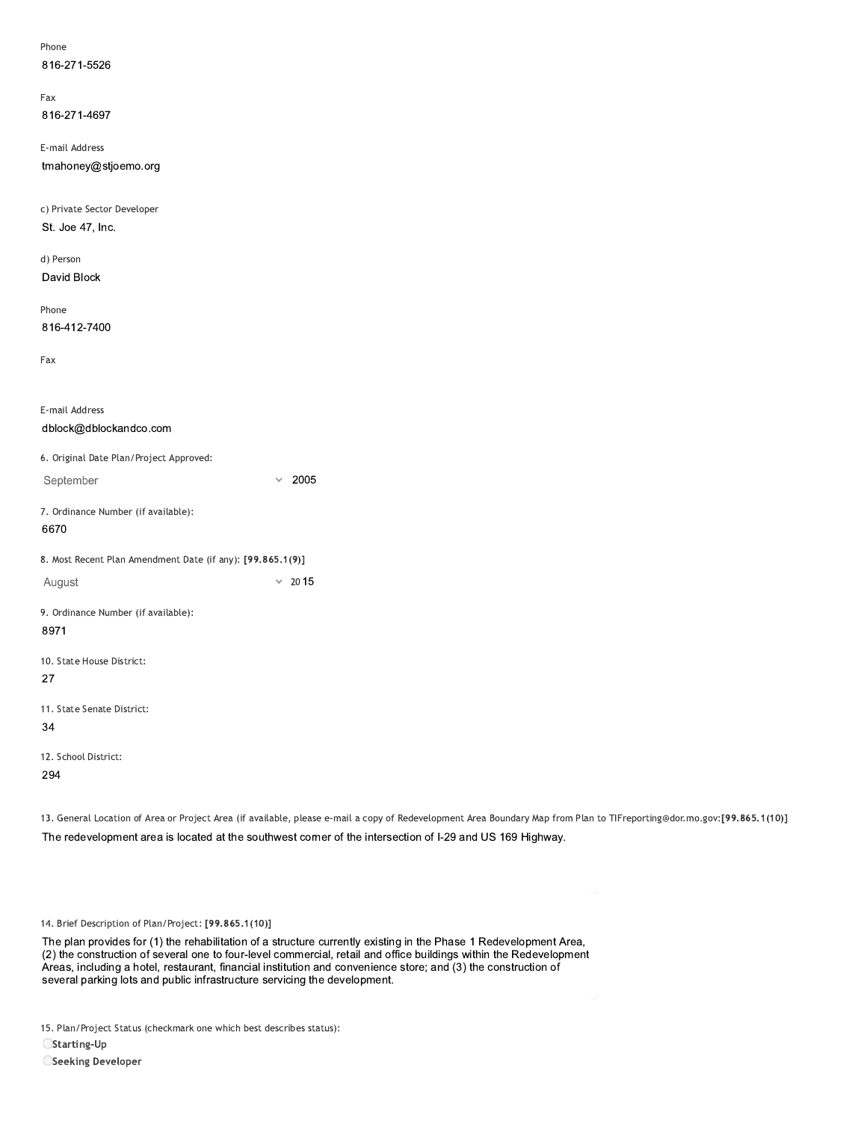| Phone                                                      |                                                                                                                                                 |
|------------------------------------------------------------|-------------------------------------------------------------------------------------------------------------------------------------------------|
| 816-271-5526                                               |                                                                                                                                                 |
| Fax                                                        |                                                                                                                                                 |
| 816-271-4697                                               |                                                                                                                                                 |
| E-mail Address                                             |                                                                                                                                                 |
| tmahoney@stjoemo.org                                       |                                                                                                                                                 |
| c) Private Sector Developer                                |                                                                                                                                                 |
| St. Joe 47, Inc.                                           |                                                                                                                                                 |
| d) Person                                                  |                                                                                                                                                 |
| David Block                                                |                                                                                                                                                 |
| Phone                                                      |                                                                                                                                                 |
| 816-412-7400                                               |                                                                                                                                                 |
| Fax                                                        |                                                                                                                                                 |
| E-mail Address                                             |                                                                                                                                                 |
| dblock@dblockandco.com                                     |                                                                                                                                                 |
| 6. Original Date Plan/Project Approved:                    |                                                                                                                                                 |
| September                                                  | $\times$ 2005                                                                                                                                   |
| 7. Ordinance Number (if available):<br>6670                |                                                                                                                                                 |
| 8. Most Recent Plan Amendment Date (if any): [99.865.1(9)] |                                                                                                                                                 |
| August                                                     | $\times$ 2015                                                                                                                                   |
| 9. Ordinance Number (if available):<br>8971                |                                                                                                                                                 |
| 10. State House District:                                  |                                                                                                                                                 |
| 27                                                         |                                                                                                                                                 |
| 11. State Senate District:                                 |                                                                                                                                                 |
| $34\,$                                                     |                                                                                                                                                 |
| 12. School District:                                       |                                                                                                                                                 |
| 294                                                        |                                                                                                                                                 |
|                                                            | 13. General Location of Area or Project Area (if available, please e-mail a copy of Redevelopment Area Boundary Map from Plan to TIFreporting@c |
|                                                            | The redevelopment area is located at the southwest corner of the intersection of I-29 and US 169 Highway.                                       |
|                                                            |                                                                                                                                                 |
| 14. Brief Description of Plan/Project: [99.865.1(10)]      |                                                                                                                                                 |
|                                                            | The plan provides for (1) the rehabilitation of a structure currently existing in the Phase 1 Redevelopment Area,                               |

13. General Location of Area or Project Area (if available, please e-mail a copy of Redevelopment Area Boundary Map from Plan to TIFreporting@dor.mo.gov:[99.865.1(10)] The redevelopment area is located at the southwest corner of the intersection of I-29 and US 169 Highway.

The plan provides for (1) the renabilitation of a structure currently existing in the Phase 1 Redevelopment Area, (2) the construction of several one to four-level commercial, retail and office buildings within the Redevelopment Areas, including a notel, restaurant, financial institution and convenience store; and (3) the construction of 14. Brief Description of Plan/Project: [99.865.1(10)]<br>The plan provides for (1) the rehabilitation of a structure currently existing in the Phase 1 Red<br>(2) the construction of several one to four-level commercial, retail a

15. Plan/Project Status (checkmark one which best describes status):

 $\bigcirc$ Starting-Up

OSeeking Developer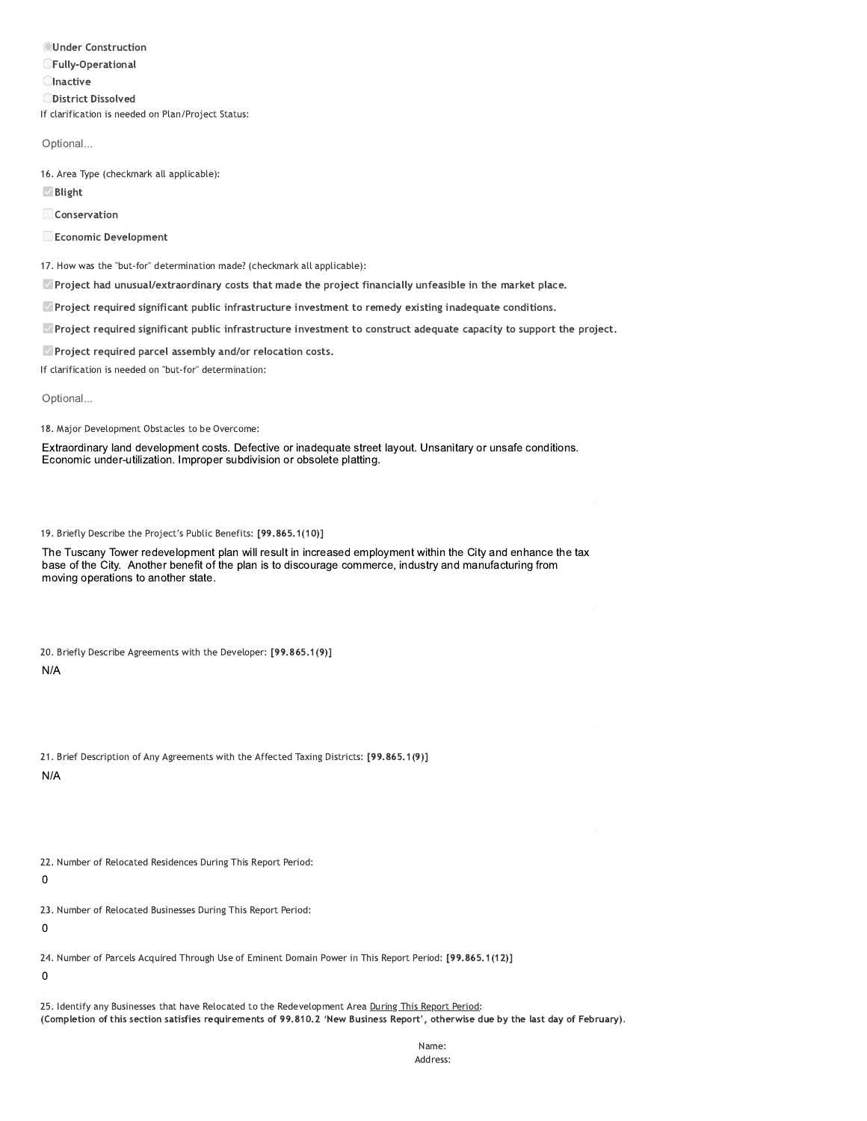**OUnder Construction CFully-Operational Olnactive** ODistrict Dissolved If clarification is needed on Plan/Project Status:

Optional...

16. Area Type (checkmark all applicable):

**Ø** Blight

Conservation

Economic Development

17. How was the "but-for" determination made? (checkmark all applicable):

Project had unusual/extraordinary costs that made the project financially unfeasible in the market place.

 $\Box$  Project required significant public infrastructure investment to remedy existing inadequate conditions.

Project required significant public infrastructure investment to construct adequate capacity to support the project.

Project required parcel assembly and/or relocation costs.

If clarification is needed on "but-for" determination:

Optional...

18. Major Development Obstacles to be Overcome:

Extraordinary land development costs. Defective or inadequate street layout. Unsanitary or unsafe conditions. Economic under-utilization. Improper subdivision or obsolete platting.

19. Briefly Describe the Project's Public Benefits: [99.865.1(10)]

The Tuscany Tower redevelopment plan will result in increased employment within the City and enhance the tax base of the City. Another benefit of the plan is to discourage commerce, industry and manufacturing from moving operations to another state.

|   | 20. Briefly Describe Agreements with the Developer: [99.865.1(9)] |  |  |
|---|-------------------------------------------------------------------|--|--|
| . |                                                                   |  |  |

 $N/A$ 

|     | 21. Brief Description of Any Agreements with the Affected Taxing Districts: [99.865.1(9)] |  |  |  |  |
|-----|-------------------------------------------------------------------------------------------|--|--|--|--|
| N/A |                                                                                           |  |  |  |  |

22. Number of Relocated Residences During This Report Period:

 $\mathbf 0$ 

23. Number of Relocated Businesses During This Report Period:

 $\mathbf 0$ 

24. Number of Parcels Acquired Through Use of Eminent Domain Power in This Report Period: [99.865.1(12)]

 $\mathbf 0$ 

25. Identify any Businesses that have Relocated to the Redevelopment Area During This Report Period: (Completion of this section satisfies requirements of 99.810.2 'New Business Report', otherwise due by the last day of February).

> Name: Address: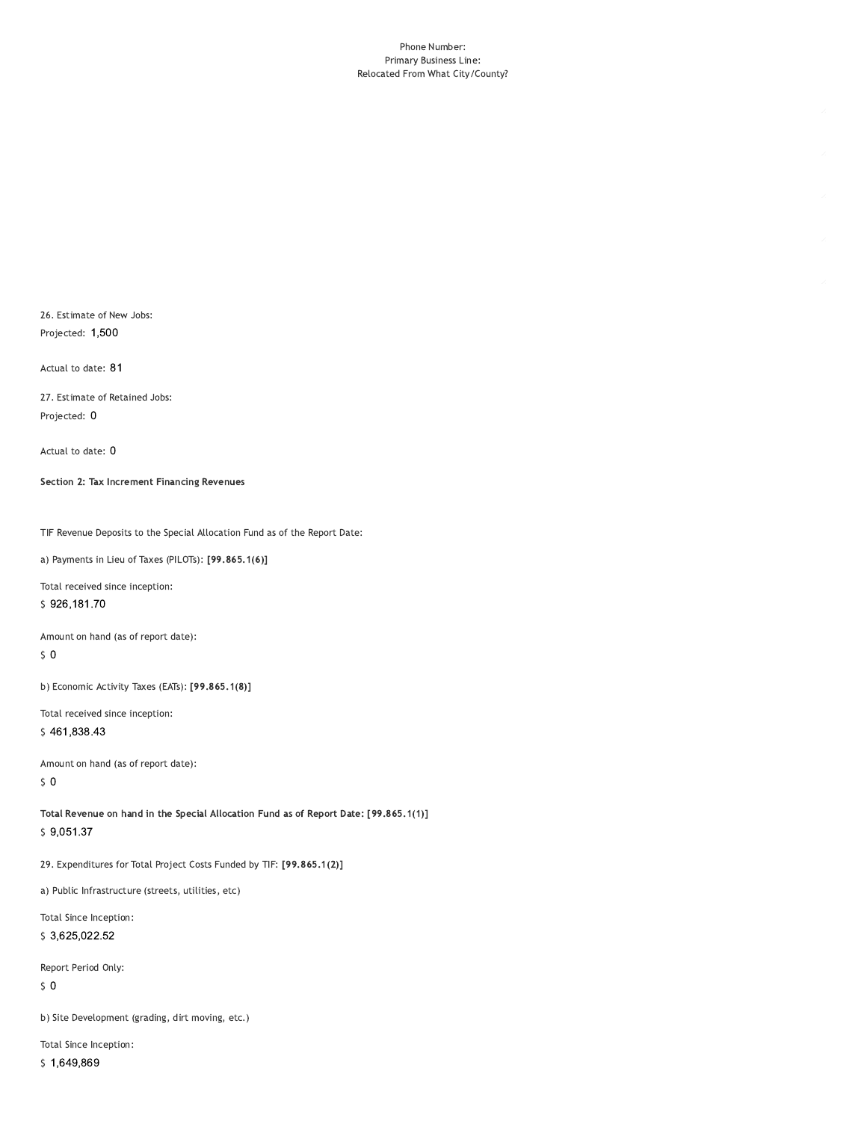#### Phone Number: Primary Business Line: Relocated From What City/County?

26. Estimate of New Jobs: Projected: 1,500

Actual to date: 81

27. Estimate of Retained Jobs: Projected: 0

Actual to date: 0

Section 2: Tax Increment Financing Revenues

TIF Revenue Deposits to the Special Allocation Fund as of the Report Date:

a) Payments in Lieu of Taxes (PILOTs): [99.865.1(6)]

Total received since inception: \$926,181.70

Amount on hand (as of report date):

 $\sqrt{5}$  O

b) Economic Activity Taxes (EATs): [99.865.1(8)]

Total received since inception: \$461,838.43

Amount on hand (as of report date):  $50$ 

Total Revenue on hand in the Special Allocation Fund as of Report Date: [99.865.1(1)]  $$9,051.37$ 

29. Expenditures for Total Project Costs Funded by TIF: [99.865.1(2)]

a) Public Infrastructure (streets, utilities, etc)

Total Since Inception: \$3,625,022.52

Report Period Only:

 $\sqrt{5}$  O

b) Site Development (grading, dirt moving, etc.)

Total Since Inception: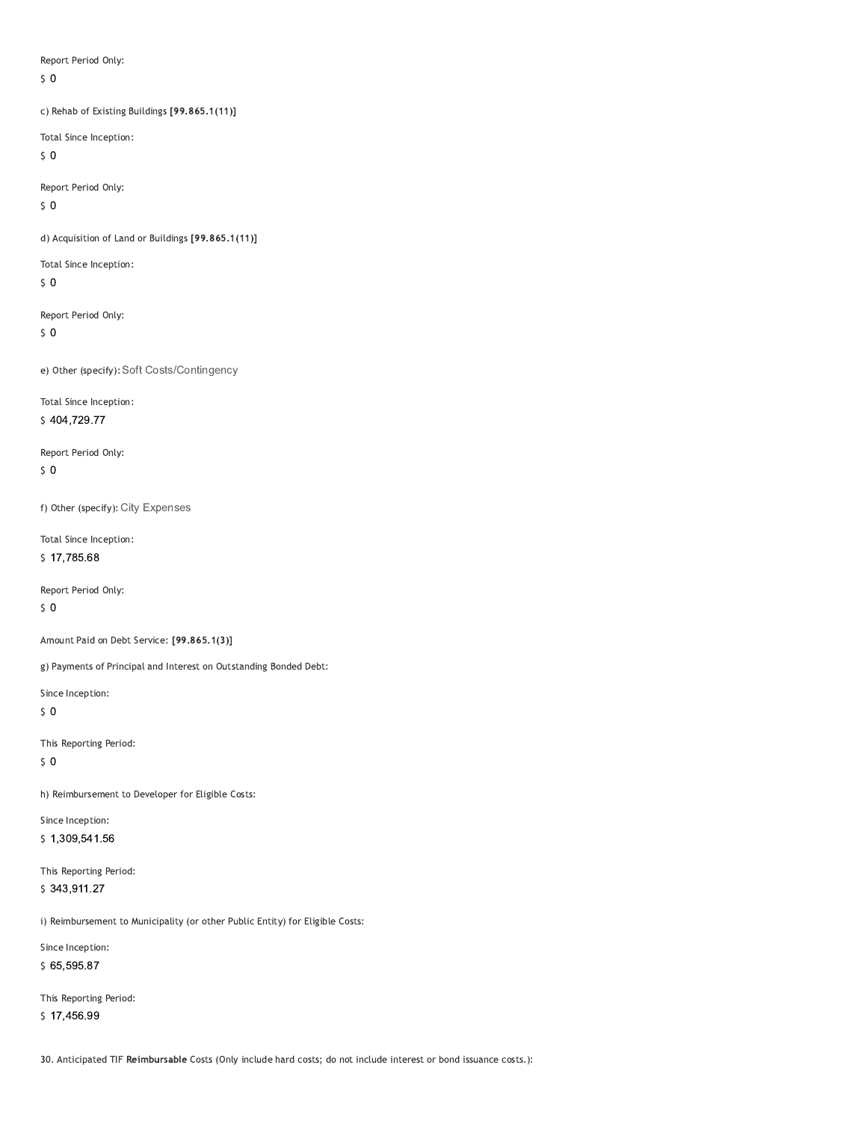Report Period Only:

 $\zeta$  0

c) Rehab of Existing Buildings [99.865.1(11)]

Total Since Inception:

 $\sqrt{5}$  O

Report Period Only:

 $50$ 

d) Acquisition of Land or Buildings [99.865.1(11)]

Total Since Inception:

 $50$ 

Report Period Only:

 $\sqrt{5}$  O

e) Other (specify): Soft Costs/Contingency

Total Since Inception: \$404,729.77

Report Period Only:

 $50$ 

f) Other (specify): City Expenses

Total Since Inception:

\$17,785.68

Report Period Only:

 $\sqrt{5}$  O

Amount Paid on Debt Service: [99.865.1(3)]

g) Payments of Principal and Interest on Outstanding Bonded Debt:

Since Inception:

 $50$ 

This Reporting Period:

 $\sqrt{5}$  O

h) Reimbursement to Developer for Eligible Costs:

Since Inception: \$1,309,541.56

This Reporting Period: \$343,911.27

i) Reimbursement to Municipality (or other Public Entity) for Eligible Costs:

Since Inception:

\$65,595.87

This Reporting Period: \$17,456.99

30. Anticipated TIF Reimbursable Costs (Only include hard costs; do not include interest or bond issuance costs.):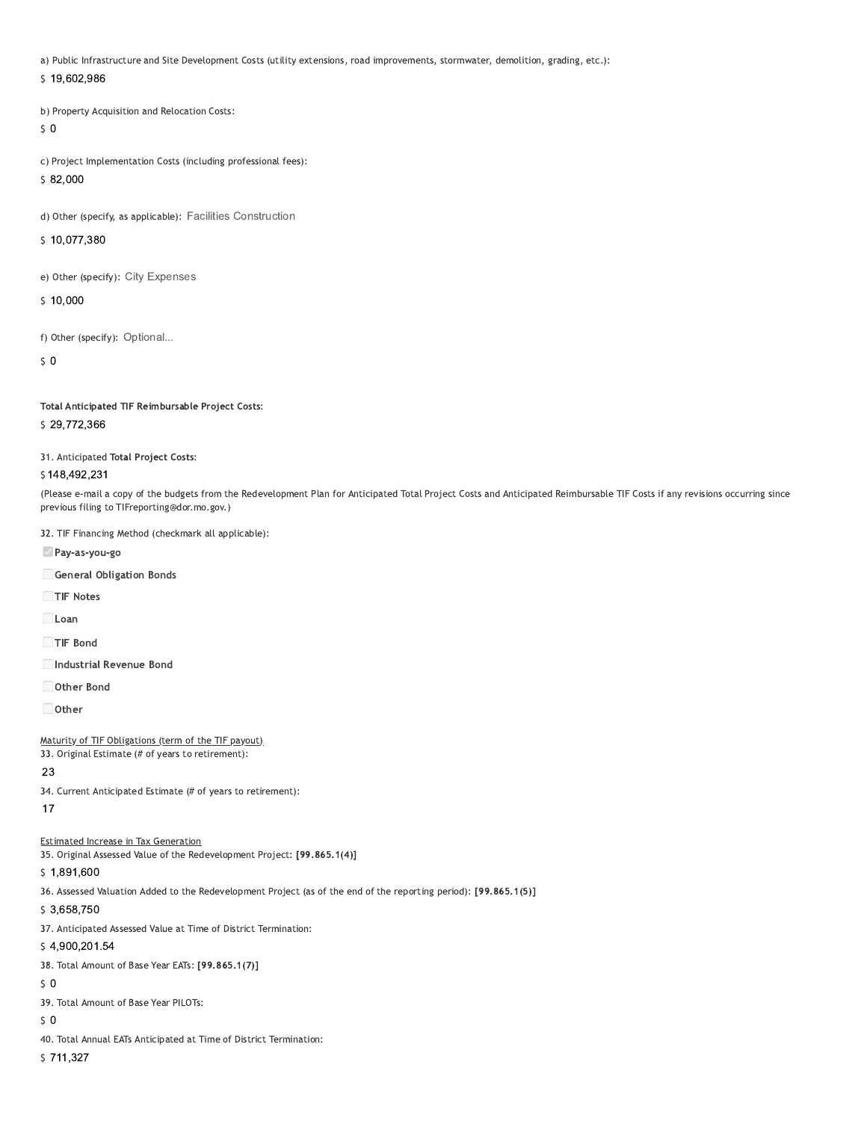a) Public Infrastructure and Site Development Costs (utility extensions, road improvements, stormwater, demolition, grading, etc.):

#### \$19,602,986

b) Property Acquisition and Relocation Costs:

## $50$

c) Project Implementation Costs (including professional fees):

# $$82,000$

d) Other (specify, as applicable): Facilities Construction

#### \$10,077,380

e) Other (specify): City Expenses

#### \$10,000

f) Other (specify): Optional...

#### $\mathsf{S}$  0

Total Anticipated TIF Reimbursable Project Costs:

## \$29,772,366

31. Anticipated Total Project Costs:

#### \$148,492,231

(Please e-mail a copy of the budgets from the Redevelopment Plan for Anticipated Total Project Costs and Anticipated Reimbursable TIF Costs if any revisions occurring since previous filing to TIFreporting@dor.mo.gov.)

32. TIF Financing Method (checkmark all applicable):

Pay-as-you-go

General Obligation Bonds

TIF Notes

 $\Box$ Loan

TIF Bond

Industrial Revenue Bond

Other Bond

 $\Box$  Other

Maturity of TIF Obligations (term of the TIF payout)

33. Original Estimate (# of years to retirement):

### 23

34. Current Anticipated Estimate (# of years to retirement):

 $17$ 

### **Estimated Increase in Tax Generation**

35. Original Assessed Value of the Redevelopment Project: [99.865.1(4)]

### \$1,891,600

36. Assessed Valuation Added to the Redevelopment Project (as of the end of the reporting period): [99.865.1(5)]

\$3,658,750

37. Anticipated Assessed Value at Time of District Termination:

#### \$4,900,201.54

38. Total Amount of Base Year EATs: [99.865.1(7)]

### $50$

39. Total Amount of Base Year PILOTs:

 $50$ 

40. Total Annual EATs Anticipated at Time of District Termination:

\$711,327